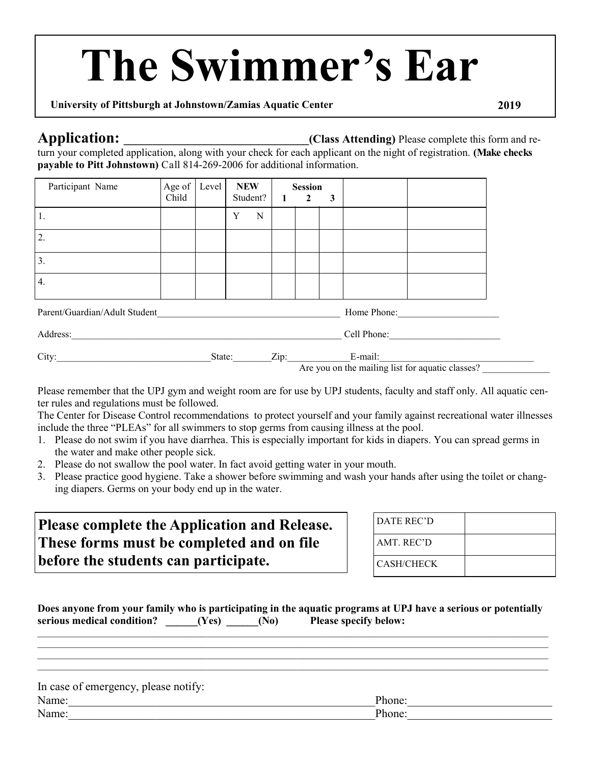# **The Swimmer's Ear**

### **University of Pittsburgh at Johnstown/Zamias Aquatic Center 2019**

**Application:** *Class Attending)* **Please complete this form and re-**

turn your completed application, along with your check for each applicant on the night of registration. **(Make checks payable to Pitt Johnstown)** Call 814-269-2006 for additional information.

| Participant Name                             | Age of   Level  <br>Child |  | <b>NEW</b> | Student? |  | <b>Session</b><br>2 | 3 |  |
|----------------------------------------------|---------------------------|--|------------|----------|--|---------------------|---|--|
| ı.                                           |                           |  | v          | N        |  |                     |   |  |
| 2.                                           |                           |  |            |          |  |                     |   |  |
| 3.                                           |                           |  |            |          |  |                     |   |  |
| 4.                                           |                           |  |            |          |  |                     |   |  |
| Parent/Guardian/Adult Student<br>Home Phone: |                           |  |            |          |  |                     |   |  |

| 4 y  |          |                                     |
|------|----------|-------------------------------------|
| City | —<br>--- | $\sim$<br>м<br>$-$<br>$\sim$ $\sim$ |

Are you on the mailing list for aquatic classes?

Please remember that the UPJ gym and weight room are for use by UPJ students, faculty and staff only. All aquatic center rules and regulations must be followed.

The Center for Disease Control recommendations to protect yourself and your family against recreational water illnesses include the three "PLEAs" for all swimmers to stop germs from causing illness at the pool.

- 1. Please do not swim if you have diarrhea. This is especially important for kids in diapers. You can spread germs in the water and make other people sick.
- 2. Please do not swallow the pool water. In fact avoid getting water in your mouth.
- 3. Please practice good hygiene. Take a shower before swimming and wash your hands after using the toilet or changing diapers. Germs on your body end up in the water.

| Please complete the Application and Release. | DATE REC'D        |  |
|----------------------------------------------|-------------------|--|
| These forms must be completed and on file    | AMT. REC'D        |  |
| before the students can participate.         | <b>CASH/CHECK</b> |  |

|                            |       |                   | Does anyone from your family who is participating in the aquatic programs at UPJ have a serious or potentially |
|----------------------------|-------|-------------------|----------------------------------------------------------------------------------------------------------------|
| serious medical condition? | (Yes) | (N <sub>0</sub> ) | <b>Please specify below:</b>                                                                                   |

 $\_$  , and the state of the state of the state of the state of the state of the state of the state of the state of the state of the state of the state of the state of the state of the state of the state of the state of the  $\_$  , and the state of the state of the state of the state of the state of the state of the state of the state of the state of the state of the state of the state of the state of the state of the state of the state of the

| In case of emergency, please notify: |        |
|--------------------------------------|--------|
| Name:                                | Phone: |
| Name:                                | Phone: |